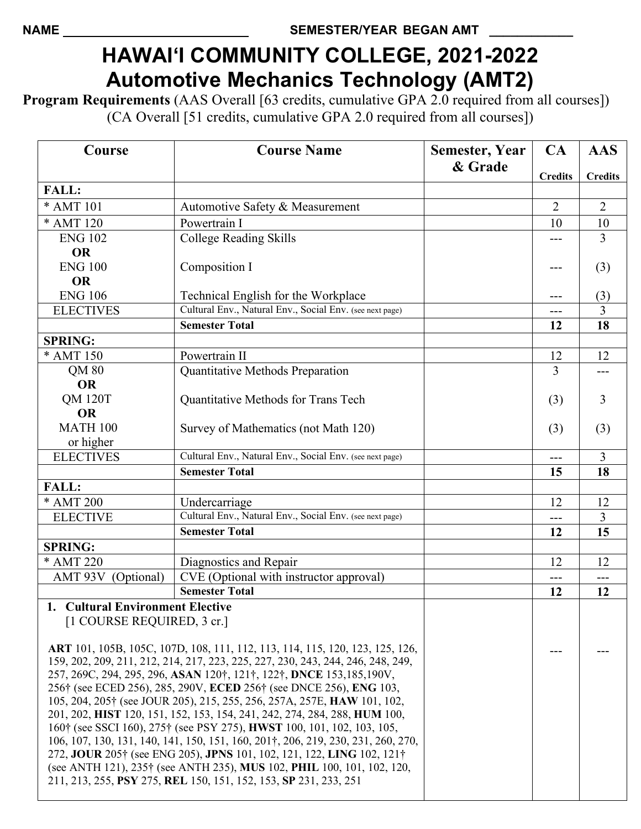## **HAWAI'I COMMUNITY COLLEGE, 2021-2022 Automotive Mechanics Technology (AMT2)**

**Program Requirements** (AAS Overall [63 credits, cumulative GPA 2.0 required from all courses]) (CA Overall [51 credits, cumulative GPA 2.0 required from all courses])

| Course                                                                                                                                                    | <b>Course Name</b>                                                           | <b>Semester, Year</b> | CA             | <b>AAS</b>     |
|-----------------------------------------------------------------------------------------------------------------------------------------------------------|------------------------------------------------------------------------------|-----------------------|----------------|----------------|
|                                                                                                                                                           |                                                                              | & Grade               | <b>Credits</b> | <b>Credits</b> |
| <b>FALL:</b>                                                                                                                                              |                                                                              |                       |                |                |
| * AMT 101                                                                                                                                                 | Automotive Safety & Measurement                                              |                       | $\overline{2}$ | $\overline{2}$ |
| * AMT 120                                                                                                                                                 | Powertrain I                                                                 |                       | 10             | 10             |
| <b>ENG 102</b>                                                                                                                                            | <b>College Reading Skills</b>                                                |                       |                | 3              |
| <b>OR</b>                                                                                                                                                 |                                                                              |                       |                |                |
| <b>ENG 100</b>                                                                                                                                            | Composition I                                                                |                       | ---            | (3)            |
| <b>OR</b>                                                                                                                                                 |                                                                              |                       |                |                |
| <b>ENG 106</b>                                                                                                                                            | Technical English for the Workplace                                          |                       | ---            | (3)            |
| <b>ELECTIVES</b>                                                                                                                                          | Cultural Env., Natural Env., Social Env. (see next page)                     |                       | ---            | 3              |
|                                                                                                                                                           | <b>Semester Total</b>                                                        |                       | 12             | 18             |
| <b>SPRING:</b>                                                                                                                                            |                                                                              |                       |                |                |
| * AMT 150                                                                                                                                                 | Powertrain II                                                                |                       | 12             | 12             |
| QM 80                                                                                                                                                     | Quantitative Methods Preparation                                             |                       | 3              |                |
| <b>OR</b>                                                                                                                                                 |                                                                              |                       |                |                |
| <b>QM 120T</b>                                                                                                                                            | Quantitative Methods for Trans Tech                                          |                       | (3)            | 3              |
| <b>OR</b>                                                                                                                                                 |                                                                              |                       |                |                |
| <b>MATH 100</b>                                                                                                                                           | Survey of Mathematics (not Math 120)                                         |                       | (3)            | (3)            |
| or higher                                                                                                                                                 |                                                                              |                       |                |                |
| <b>ELECTIVES</b>                                                                                                                                          | Cultural Env., Natural Env., Social Env. (see next page)                     |                       | ---            | $\overline{3}$ |
|                                                                                                                                                           | <b>Semester Total</b>                                                        |                       | 15             | 18             |
| <b>FALL:</b>                                                                                                                                              |                                                                              |                       |                |                |
| * AMT 200                                                                                                                                                 | Undercarriage                                                                |                       | 12             | 12             |
| <b>ELECTIVE</b>                                                                                                                                           | Cultural Env., Natural Env., Social Env. (see next page)                     |                       | ---            | 3              |
|                                                                                                                                                           | <b>Semester Total</b>                                                        |                       | 12             | 15             |
| <b>SPRING:</b><br>$*AMT 220$                                                                                                                              |                                                                              |                       |                |                |
|                                                                                                                                                           | Diagnostics and Repair                                                       |                       | 12             | 12             |
| AMT 93V (Optional)                                                                                                                                        | CVE (Optional with instructor approval)<br><b>Semester Total</b>             |                       | ---            | ---            |
|                                                                                                                                                           |                                                                              |                       | 12             | 12             |
| 1. Cultural Environment Elective                                                                                                                          |                                                                              |                       |                |                |
| [1 COURSE REQUIRED, 3 cr.]                                                                                                                                |                                                                              |                       |                |                |
|                                                                                                                                                           | ART 101, 105B, 105C, 107D, 108, 111, 112, 113, 114, 115, 120, 123, 125, 126, |                       |                |                |
| 159, 202, 209, 211, 212, 214, 217, 223, 225, 227, 230, 243, 244, 246, 248, 249,                                                                           |                                                                              |                       |                |                |
| 257, 269C, 294, 295, 296, ASAN 120 <sup>†</sup> , 121 <sup>†</sup> , 122 <sup>†</sup> , DNCE 153, 185, 190V,                                              |                                                                              |                       |                |                |
| 256 <sup>†</sup> (see ECED 256), 285, 290V, ECED 256 <sup>†</sup> (see DNCE 256), ENG 103,                                                                |                                                                              |                       |                |                |
| 105, 204, 205† (see JOUR 205), 215, 255, 256, 257A, 257E, HAW 101, 102,                                                                                   |                                                                              |                       |                |                |
| 201, 202, HIST 120, 151, 152, 153, 154, 241, 242, 274, 284, 288, HUM 100,                                                                                 |                                                                              |                       |                |                |
| 160 <sup>†</sup> (see SSCI 160), 275 <sup>†</sup> (see PSY 275), <b>HWST</b> 100, 101, 102, 103, 105,                                                     |                                                                              |                       |                |                |
| 106, 107, 130, 131, 140, 141, 150, 151, 160, 201†, 206, 219, 230, 231, 260, 270,<br>272, JOUR 205† (see ENG 205), JPNS 101, 102, 121, 122, LING 102, 121† |                                                                              |                       |                |                |
| (see ANTH 121), 235 <sup>†</sup> (see ANTH 235), <b>MUS</b> 102, <b>PHIL</b> 100, 101, 102, 120,                                                          |                                                                              |                       |                |                |
| 211, 213, 255, PSY 275, REL 150, 151, 152, 153, SP 231, 233, 251                                                                                          |                                                                              |                       |                |                |